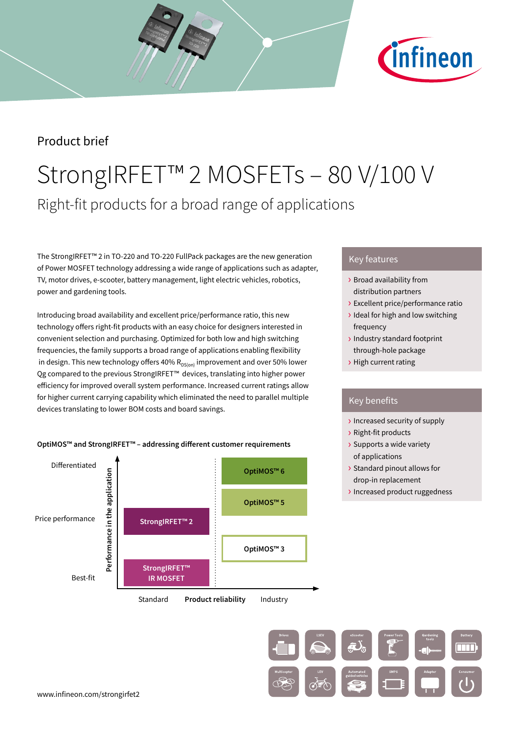

### Product brief

## StrongIRFET™ 2 MOSFETs – 80 V/100 V Right-fit products for a broad range of applications

The StrongIRFET™ 2 in TO-220 and TO-220 FullPack packages are the new generation of Power MOSFET technology addressing a wide range of applications such as adapter, TV, motor drives, e-scooter, battery management, light electric vehicles, robotics, power and gardening tools.

Introducing broad availability and excellent price/performance ratio, this new technology offers right-fit products with an easy choice for designers interested in convenient selection and purchasing. Optimized for both low and high switching frequencies, the family supports a broad range of applications enabling flexibility in design. This new technology offers 40%  $R_{DS(on)}$  improvement and over 50% lower Qg compared to the previous StrongIRFET<sup>™</sup> devices, translating into higher power efficiency for improved overall system performance. Increased current ratings allow for higher current carrying capability which eliminated the need to parallel multiple devices translating to lower BOM costs and board savings.





#### Key features

- › Broad availability from distribution partners
- › Excellent price/performance ratio
- › Ideal for high and low switching frequency
- › Industry standard footprint through-hole package
- › High current rating

#### Key benefits

- › Increased security of supply
- › Right-fit products
- › Supports a wide variety of applications
- › Standard pinout allows for drop-in replacement
- › Increased product ruggedness